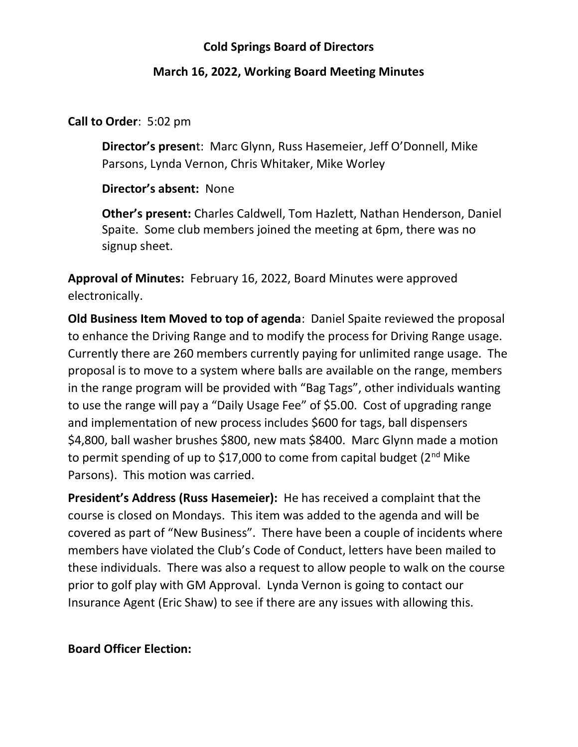## Cold Springs Board of Directors

#### March 16, 2022, Working Board Meeting Minutes

#### Call to Order: 5:02 pm

Director's present: Marc Glynn, Russ Hasemeier, Jeff O'Donnell, Mike Parsons, Lynda Vernon, Chris Whitaker, Mike Worley

#### Director's absent: None

Other's present: Charles Caldwell, Tom Hazlett, Nathan Henderson, Daniel Spaite. Some club members joined the meeting at 6pm, there was no signup sheet.

Approval of Minutes: February 16, 2022, Board Minutes were approved electronically.

Old Business Item Moved to top of agenda: Daniel Spaite reviewed the proposal to enhance the Driving Range and to modify the process for Driving Range usage. Currently there are 260 members currently paying for unlimited range usage. The proposal is to move to a system where balls are available on the range, members in the range program will be provided with "Bag Tags", other individuals wanting to use the range will pay a "Daily Usage Fee" of \$5.00. Cost of upgrading range and implementation of new process includes \$600 for tags, ball dispensers \$4,800, ball washer brushes \$800, new mats \$8400. Marc Glynn made a motion to permit spending of up to \$17,000 to come from capital budget (2<sup>nd</sup> Mike Parsons). This motion was carried.

President's Address (Russ Hasemeier): He has received a complaint that the course is closed on Mondays. This item was added to the agenda and will be covered as part of "New Business". There have been a couple of incidents where members have violated the Club's Code of Conduct, letters have been mailed to these individuals. There was also a request to allow people to walk on the course prior to golf play with GM Approval. Lynda Vernon is going to contact our Insurance Agent (Eric Shaw) to see if there are any issues with allowing this.

## Board Officer Election: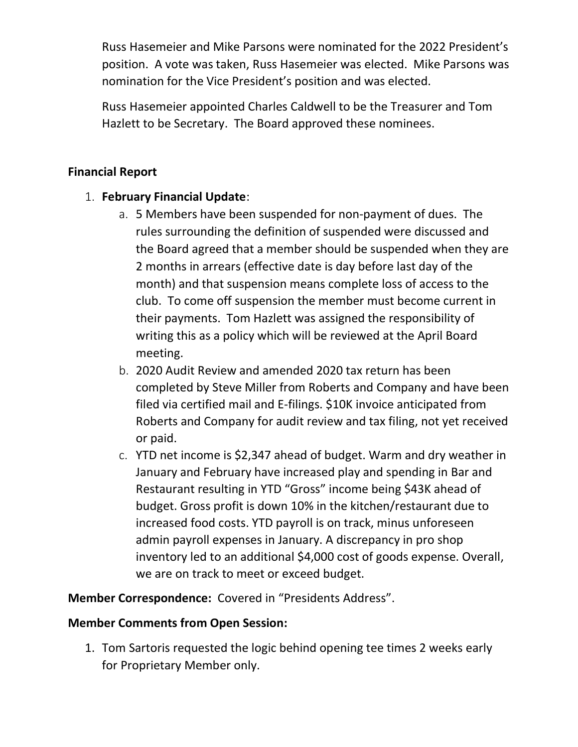Russ Hasemeier and Mike Parsons were nominated for the 2022 President's position. A vote was taken, Russ Hasemeier was elected. Mike Parsons was nomination for the Vice President's position and was elected.

Russ Hasemeier appointed Charles Caldwell to be the Treasurer and Tom Hazlett to be Secretary. The Board approved these nominees.

# Financial Report

# 1. February Financial Update:

- a. 5 Members have been suspended for non-payment of dues. The rules surrounding the definition of suspended were discussed and the Board agreed that a member should be suspended when they are 2 months in arrears (effective date is day before last day of the month) and that suspension means complete loss of access to the club. To come off suspension the member must become current in their payments. Tom Hazlett was assigned the responsibility of writing this as a policy which will be reviewed at the April Board meeting.
- b. 2020 Audit Review and amended 2020 tax return has been completed by Steve Miller from Roberts and Company and have been filed via certified mail and E-filings. \$10K invoice anticipated from Roberts and Company for audit review and tax filing, not yet received or paid.
- c. YTD net income is \$2,347 ahead of budget. Warm and dry weather in January and February have increased play and spending in Bar and Restaurant resulting in YTD "Gross" income being \$43K ahead of budget. Gross profit is down 10% in the kitchen/restaurant due to increased food costs. YTD payroll is on track, minus unforeseen admin payroll expenses in January. A discrepancy in pro shop inventory led to an additional \$4,000 cost of goods expense. Overall, we are on track to meet or exceed budget.

Member Correspondence: Covered in "Presidents Address".

## Member Comments from Open Session:

1. Tom Sartoris requested the logic behind opening tee times 2 weeks early for Proprietary Member only.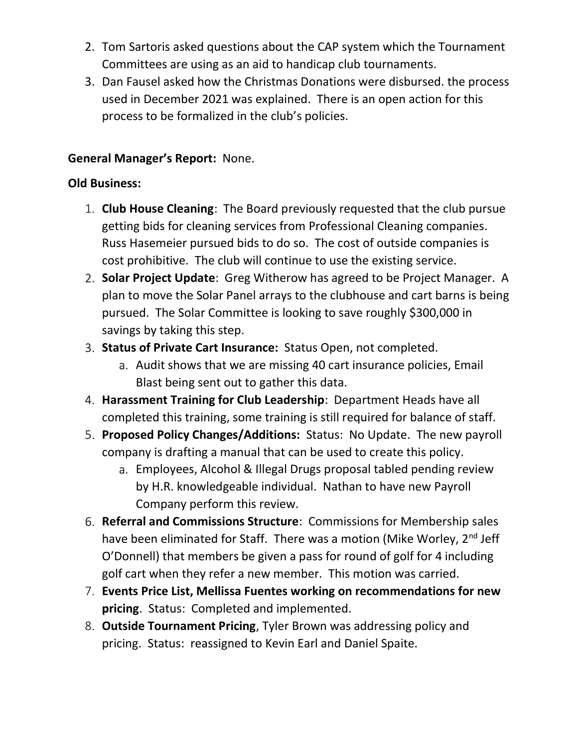- 2. Tom Sartoris asked questions about the CAP system which the Tournament Committees are using as an aid to handicap club tournaments.
- 3. Dan Fausel asked how the Christmas Donations were disbursed. the process used in December 2021 was explained. There is an open action for this process to be formalized in the club's policies.

# General Manager's Report: None.

# Old Business:

- 1. Club House Cleaning: The Board previously requested that the club pursue getting bids for cleaning services from Professional Cleaning companies. Russ Hasemeier pursued bids to do so. The cost of outside companies is cost prohibitive. The club will continue to use the existing service.
- 2. Solar Project Update: Greg Witherow has agreed to be Project Manager. A plan to move the Solar Panel arrays to the clubhouse and cart barns is being pursued. The Solar Committee is looking to save roughly \$300,000 in savings by taking this step.
- 3. Status of Private Cart Insurance: Status Open, not completed.
	- a. Audit shows that we are missing 40 cart insurance policies, Email Blast being sent out to gather this data.
- 4. Harassment Training for Club Leadership: Department Heads have all completed this training, some training is still required for balance of staff.
- 5. Proposed Policy Changes/Additions: Status: No Update. The new payroll company is drafting a manual that can be used to create this policy.
	- a. Employees, Alcohol & Illegal Drugs proposal tabled pending review by H.R. knowledgeable individual. Nathan to have new Payroll Company perform this review.
- 6. Referral and Commissions Structure: Commissions for Membership sales have been eliminated for Staff. There was a motion (Mike Worley, 2<sup>nd</sup> Jeff O'Donnell) that members be given a pass for round of golf for 4 including golf cart when they refer a new member. This motion was carried.
- 7. Events Price List, Mellissa Fuentes working on recommendations for new pricing. Status: Completed and implemented.
- 8. Outside Tournament Pricing, Tyler Brown was addressing policy and pricing. Status: reassigned to Kevin Earl and Daniel Spaite.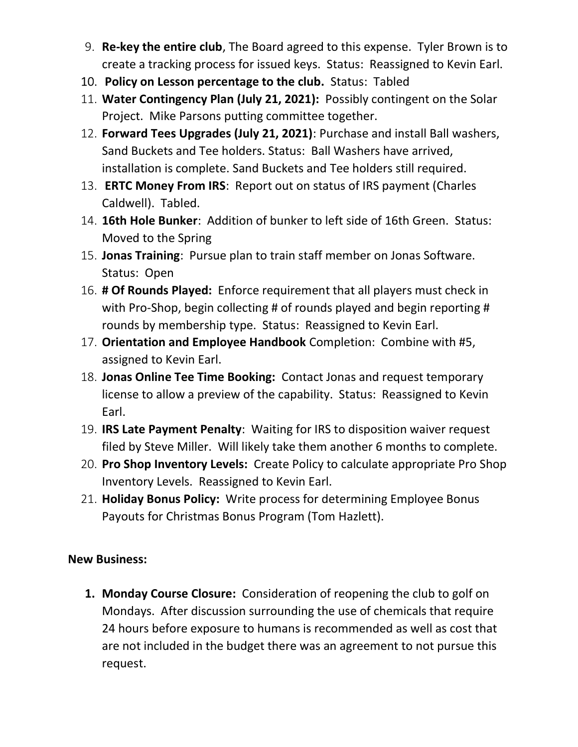- 9. Re-key the entire club, The Board agreed to this expense. Tyler Brown is to create a tracking process for issued keys. Status: Reassigned to Kevin Earl.
- 10. Policy on Lesson percentage to the club. Status: Tabled
- 11. Water Contingency Plan (July 21, 2021): Possibly contingent on the Solar Project. Mike Parsons putting committee together.
- 12. Forward Tees Upgrades (July 21, 2021): Purchase and install Ball washers, Sand Buckets and Tee holders. Status: Ball Washers have arrived, installation is complete. Sand Buckets and Tee holders still required.
- 13. **ERTC Money From IRS:** Report out on status of IRS payment (Charles Caldwell). Tabled.
- 14. 16th Hole Bunker: Addition of bunker to left side of 16th Green. Status: Moved to the Spring
- 15. Jonas Training: Pursue plan to train staff member on Jonas Software. Status: Open
- 16. # Of Rounds Played: Enforce requirement that all players must check in with Pro-Shop, begin collecting # of rounds played and begin reporting # rounds by membership type. Status: Reassigned to Kevin Earl.
- 17. Orientation and Employee Handbook Completion: Combine with #5, assigned to Kevin Earl.
- 18. Jonas Online Tee Time Booking: Contact Jonas and request temporary license to allow a preview of the capability. Status: Reassigned to Kevin Earl.
- 19. IRS Late Payment Penalty: Waiting for IRS to disposition waiver request filed by Steve Miller. Will likely take them another 6 months to complete.
- 20. Pro Shop Inventory Levels: Create Policy to calculate appropriate Pro Shop Inventory Levels. Reassigned to Kevin Earl.
- 21. Holiday Bonus Policy: Write process for determining Employee Bonus Payouts for Christmas Bonus Program (Tom Hazlett).

# New Business:

1. Monday Course Closure: Consideration of reopening the club to golf on Mondays. After discussion surrounding the use of chemicals that require 24 hours before exposure to humans is recommended as well as cost that are not included in the budget there was an agreement to not pursue this request.